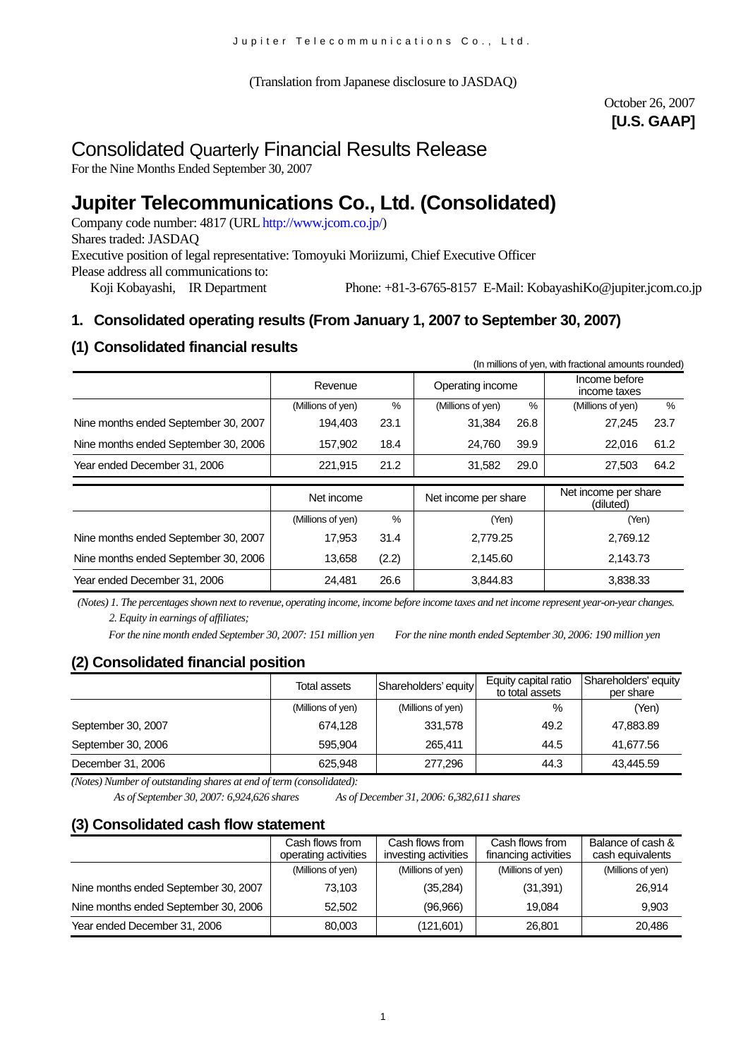(Translation from Japanese disclosure to JASDAQ)

## October 26, 2007 **[U.S. GAAP]**

# Consolidated Quarterly Financial Results Release

For the Nine Months Ended September 30, 2007

# **Jupiter Telecommunications Co., Ltd. (Consolidated)**

Company code number: 4817 (URL [http://www.jcom.co.jp/](http://www.jcomxxxxxxxxx.co.jp/)) Shares traded: JASDAQ Executive position of legal representative: Tomoyuki Moriizumi, Chief Executive Officer Please address all communications to: Koji Kobayashi, IR Department Phone: +81-3-6765-8157 E-Mail: [KobayashiKo@jupiter.jcom.co.jp](mailto:KobayashiKo@jupiter.jcom.co.jp)

## **1. Consolidated operating results (From January 1, 2007 to September 30, 2007)**

## **(1) Consolidated financial results**

| (In millions of yen, with fractional amounts rounded) |                   |       |                      |      |                                   |      |
|-------------------------------------------------------|-------------------|-------|----------------------|------|-----------------------------------|------|
|                                                       | Revenue           |       | Operating income     |      | Income before<br>income taxes     |      |
|                                                       | (Millions of yen) | %     | (Millions of yen)    | $\%$ | (Millions of yen)                 | %    |
| Nine months ended September 30, 2007                  | 194,403           | 23.1  | 31,384               | 26.8 | 27,245                            | 23.7 |
| Nine months ended September 30, 2006                  | 157,902           | 18.4  | 24,760               | 39.9 | 22.016                            | 61.2 |
| Year ended December 31, 2006                          | 221,915           | 21.2  | 31,582               | 29.0 | 27,503                            | 64.2 |
|                                                       | Net income        |       | Net income per share |      | Net income per share<br>(diluted) |      |
|                                                       | (Millions of yen) | $\%$  | (Yen)                |      | (Yen)                             |      |
| Nine months ended September 30, 2007                  | 17,953            | 31.4  | 2,779.25             |      | 2,769.12                          |      |
| Nine months ended September 30, 2006                  | 13,658            | (2.2) | 2,145.60             |      | 2,143.73                          |      |
| Year ended December 31, 2006                          | 24,481            | 26.6  | 3,844.83             |      | 3,838.33                          |      |

*(Notes) 1. The percentages shown next to revenue, operating income, income before income taxes and net income represent year-on-year changes. 2. Equity in earnings of affiliates;*

*For the nine month ended September 30, 2007: 151 million yen For the nine month ended September 30, 2006: 190 million yen* 

## **(2) Consolidated financial position**

|                    | Total assets      | Shareholders' equity | Equity capital ratio | Shareholders' equity |
|--------------------|-------------------|----------------------|----------------------|----------------------|
|                    |                   |                      | to total assets      | per share            |
|                    | (Millions of yen) | (Millions of yen)    | %                    | (Yen)                |
| September 30, 2007 | 674.128           | 331,578              | 49.2                 | 47,883.89            |
| September 30, 2006 | 595.904           | 265.411              | 44.5                 | 41,677.56            |
| December 31, 2006  | 625.948           | 277.296              | 44.3                 | 43,445.59            |

*(Notes) Number of outstanding shares at end of term (consolidated):*

*As of September 30, 2007: 6,924,626 shares As of December 31, 2006: 6,382,611 shares*

## **(3) Consolidated cash flow statement**

|                                      | Cash flows from<br>operating activities | Cash flows from<br>investing activities | Cash flows from<br>financing activities | Balance of cash &<br>cash equivalents |
|--------------------------------------|-----------------------------------------|-----------------------------------------|-----------------------------------------|---------------------------------------|
|                                      | (Millions of yen)                       | (Millions of yen)                       | (Millions of yen)                       | (Millions of yen)                     |
| Nine months ended September 30, 2007 | 73.103                                  | (35, 284)                               | (31, 391)                               | 26.914                                |
| Nine months ended September 30, 2006 | 52,502                                  | (96,966)                                | 19.084                                  | 9.903                                 |
| Year ended December 31, 2006         | 80,003                                  | (121,601)                               | 26,801                                  | 20.486                                |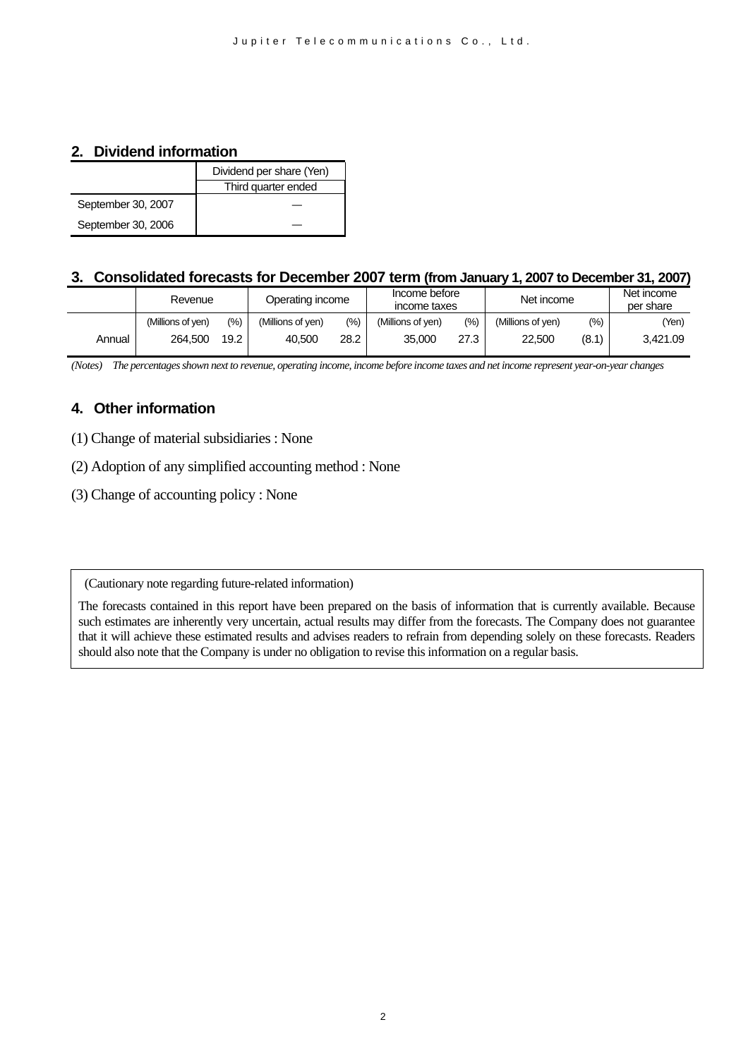## **2. Dividend information**

|                    | Dividend per share (Yen) |
|--------------------|--------------------------|
|                    | Third quarter ended      |
| September 30, 2007 |                          |
| September 30, 2006 |                          |

### **3. Consolidated forecasts for December 2007 term (from January 1, 2007 to December 31, 2007)**

|        | Revenue           |       | Operating income  |       | Income before<br>income taxes |      |                   |       | Net income |  | Net income<br>per share |
|--------|-------------------|-------|-------------------|-------|-------------------------------|------|-------------------|-------|------------|--|-------------------------|
|        | (Millions of ven) | (9/0) | (Millions of yen) | (9/0) | (Millions of ven)             | (%)  | (Millions of ven) | (%)   | (Yen)      |  |                         |
| Annual | 264.500           | 19.2  | 40.500            | 28.2  | 35,000                        | 27.3 | 22.500            | (8.1) | 3.421.09   |  |                         |

*(Notes) The percentages shown next to revenue, operating income, income before income taxes and net income represent year-on-year changes* 

## **4. Other information**

- (1) Change of material subsidiaries : None
- (2) Adoption of any simplified accounting method : None
- (3) Change of accounting policy : None

(Cautionary note regarding future-related information)

The forecasts contained in this report have been prepared on the basis of information that is currently available. Because such estimates are inherently very uncertain, actual results may differ from the forecasts. The Company does not guarantee that it will achieve these estimated results and advises readers to refrain from depending solely on these forecasts. Readers should also note that the Company is under no obligation to revise this information on a regular basis.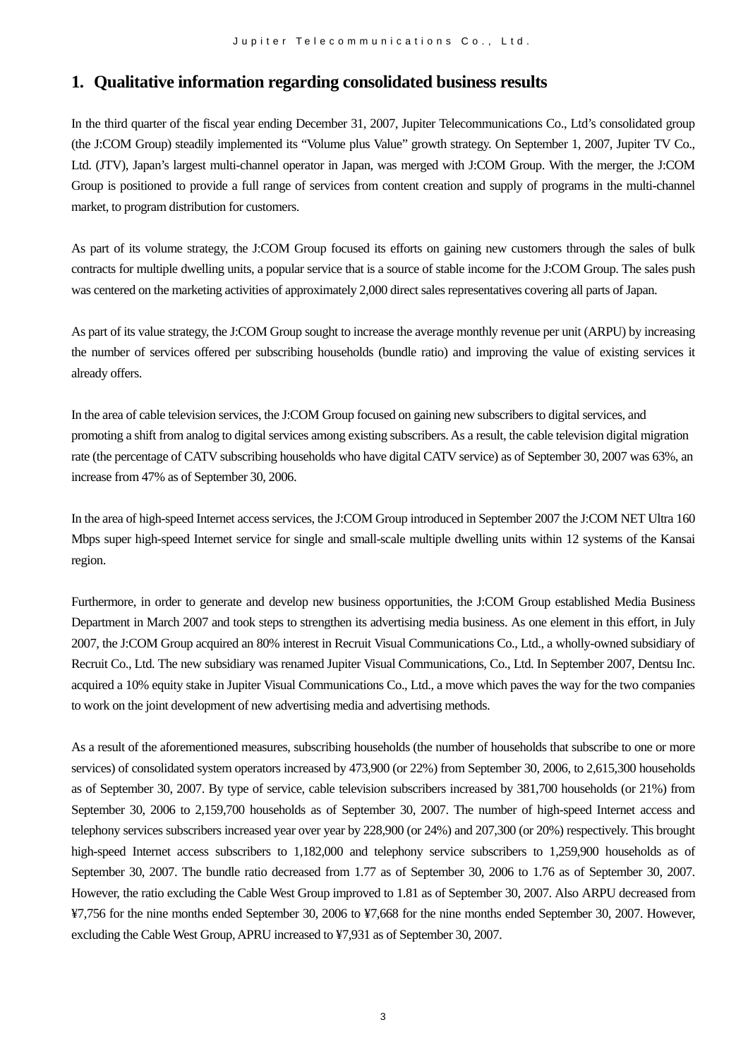## **1. Qualitative information regarding consolidated business results**

In the third quarter of the fiscal year ending December 31, 2007, Jupiter Telecommunications Co., Ltd's consolidated group (the J:COM Group) steadily implemented its "Volume plus Value" growth strategy. On September 1, 2007, Jupiter TV Co., Ltd. (JTV), Japan's largest multi-channel operator in Japan, was merged with J:COM Group. With the merger, the J:COM Group is positioned to provide a full range of services from content creation and supply of programs in the multi-channel market, to program distribution for customers.

As part of its volume strategy, the J:COM Group focused its efforts on gaining new customers through the sales of bulk contracts for multiple dwelling units, a popular service that is a source of stable income for the J:COM Group. The sales push was centered on the marketing activities of approximately 2,000 direct sales representatives covering all parts of Japan.

As part of its value strategy, the J:COM Group sought to increase the average monthly revenue per unit (ARPU) by increasing the number of services offered per subscribing households (bundle ratio) and improving the value of existing services it already offers.

In the area of cable television services, the J:COM Group focused on gaining new subscribers to digital services, and promoting a shift from analog to digital services among existing subscribers. As a result, the cable television digital migration rate (the percentage of CATV subscribing households who have digital CATV service) as of September 30, 2007 was 63%, an increase from 47% as of September 30, 2006.

In the area of high-speed Internet access services, the J:COM Group introduced in September 2007 the J:COM NET Ultra 160 Mbps super high-speed Internet service for single and small-scale multiple dwelling units within 12 systems of the Kansai region.

Furthermore, in order to generate and develop new business opportunities, the J:COM Group established Media Business Department in March 2007 and took steps to strengthen its advertising media business. As one element in this effort, in July 2007, the J:COM Group acquired an 80% interest in Recruit Visual Communications Co., Ltd., a wholly-owned subsidiary of Recruit Co., Ltd. The new subsidiary was renamed Jupiter Visual Communications, Co., Ltd. In September 2007, Dentsu Inc. acquired a 10% equity stake in Jupiter Visual Communications Co., Ltd., a move which paves the way for the two companies to work on the joint development of new advertising media and advertising methods.

As a result of the aforementioned measures, subscribing households (the number of households that subscribe to one or more services) of consolidated system operators increased by 473,900 (or 22%) from September 30, 2006, to 2,615,300 households as of September 30, 2007. By type of service, cable television subscribers increased by 381,700 households (or 21%) from September 30, 2006 to 2,159,700 households as of September 30, 2007. The number of high-speed Internet access and telephony services subscribers increased year over year by 228,900 (or 24%) and 207,300 (or 20%) respectively. This brought high-speed Internet access subscribers to 1,182,000 and telephony service subscribers to 1,259,900 households as of September 30, 2007. The bundle ratio decreased from 1.77 as of September 30, 2006 to 1.76 as of September 30, 2007. However, the ratio excluding the Cable West Group improved to 1.81 as of September 30, 2007. Also ARPU decreased from ¥7,756 for the nine months ended September 30, 2006 to ¥7,668 for the nine months ended September 30, 2007. However, excluding the Cable West Group, APRU increased to ¥7,931 as of September 30, 2007.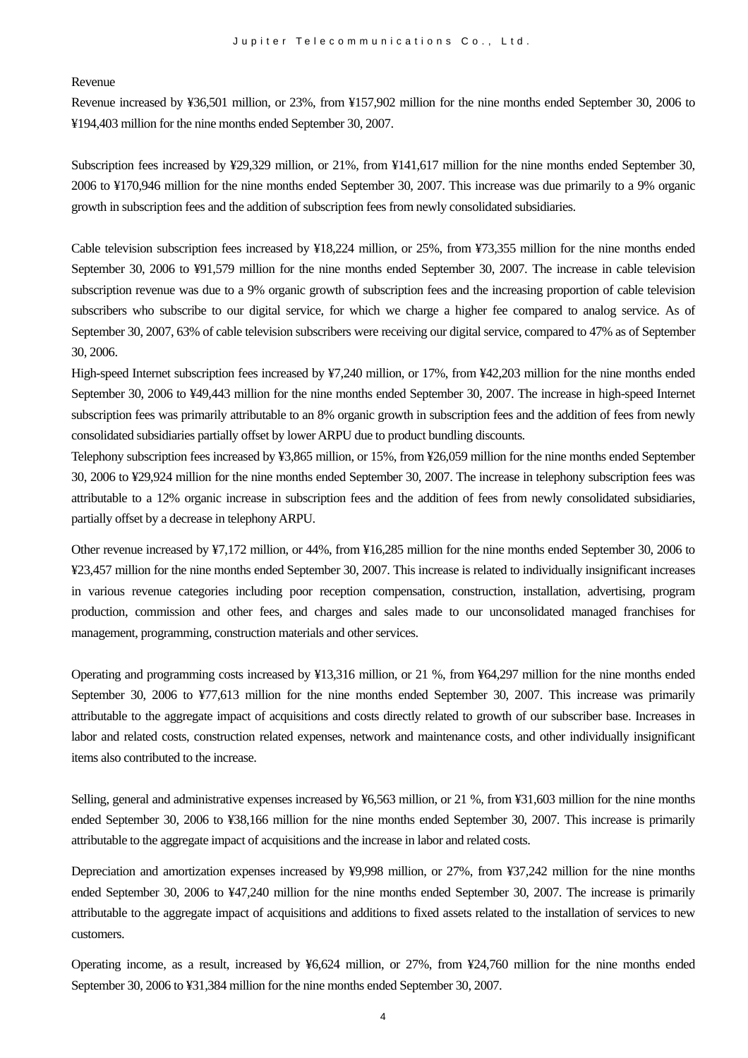Revenue

Revenue increased by ¥36,501 million, or 23%, from ¥157,902 million for the nine months ended September 30, 2006 to ¥194,403 million for the nine months ended September 30, 2007.

Subscription fees increased by ¥29,329 million, or 21%, from ¥141,617 million for the nine months ended September 30, 2006 to ¥170,946 million for the nine months ended September 30, 2007. This increase was due primarily to a 9% organic growth in subscription fees and the addition of subscription fees from newly consolidated subsidiaries.

Cable television subscription fees increased by ¥18,224 million, or 25%, from ¥73,355 million for the nine months ended September 30, 2006 to ¥91,579 million for the nine months ended September 30, 2007. The increase in cable television subscription revenue was due to a 9% organic growth of subscription fees and the increasing proportion of cable television subscribers who subscribe to our digital service, for which we charge a higher fee compared to analog service. As of September 30, 2007, 63% of cable television subscribers were receiving our digital service, compared to 47% as of September 30, 2006.

High-speed Internet subscription fees increased by ¥7,240 million, or 17%, from ¥42,203 million for the nine months ended September 30, 2006 to ¥49,443 million for the nine months ended September 30, 2007. The increase in high-speed Internet subscription fees was primarily attributable to an 8% organic growth in subscription fees and the addition of fees from newly consolidated subsidiaries partially offset by lower ARPU due to product bundling discounts.

Telephony subscription fees increased by ¥3,865 million, or 15%, from ¥26,059 million for the nine months ended September 30, 2006 to ¥29,924 million for the nine months ended September 30, 2007. The increase in telephony subscription fees was attributable to a 12% organic increase in subscription fees and the addition of fees from newly consolidated subsidiaries, partially offset by a decrease in telephonyARPU.

Other revenue increased by ¥7,172 million, or 44%, from ¥16,285 million for the nine months ended September 30, 2006 to ¥23,457 million for the nine months ended September 30, 2007. This increase is related to individually insignificant increases in various revenue categories including poor reception compensation, construction, installation, advertising, program production, commission and other fees, and charges and sales made to our unconsolidated managed franchises for management, programming, construction materials and other services.

Operating and programming costs increased by ¥13,316 million, or 21 %, from ¥64,297 million for the nine months ended September 30, 2006 to ¥77,613 million for the nine months ended September 30, 2007. This increase was primarily attributable to the aggregate impact of acquisitions and costs directly related to growth of our subscriber base. Increases in labor and related costs, construction related expenses, network and maintenance costs, and other individually insignificant items also contributed to the increase.

Selling, general and administrative expenses increased by ¥6,563 million, or 21 %, from ¥31,603 million for the nine months ended September 30, 2006 to ¥38,166 million for the nine months ended September 30, 2007. This increase is primarily attributable to the aggregate impact of acquisitions and the increase in labor and related costs.

Depreciation and amortization expenses increased by ¥9,998 million, or 27%, from ¥37,242 million for the nine months ended September 30, 2006 to ¥47,240 million for the nine months ended September 30, 2007. The increase is primarily attributable to the aggregate impact of acquisitions and additions to fixed assets related to the installation of services to new customers.

Operating income, as a result, increased by ¥6,624 million, or 27%, from ¥24,760 million for the nine months ended September 30, 2006 to ¥31,384 million for the nine months ended September 30, 2007.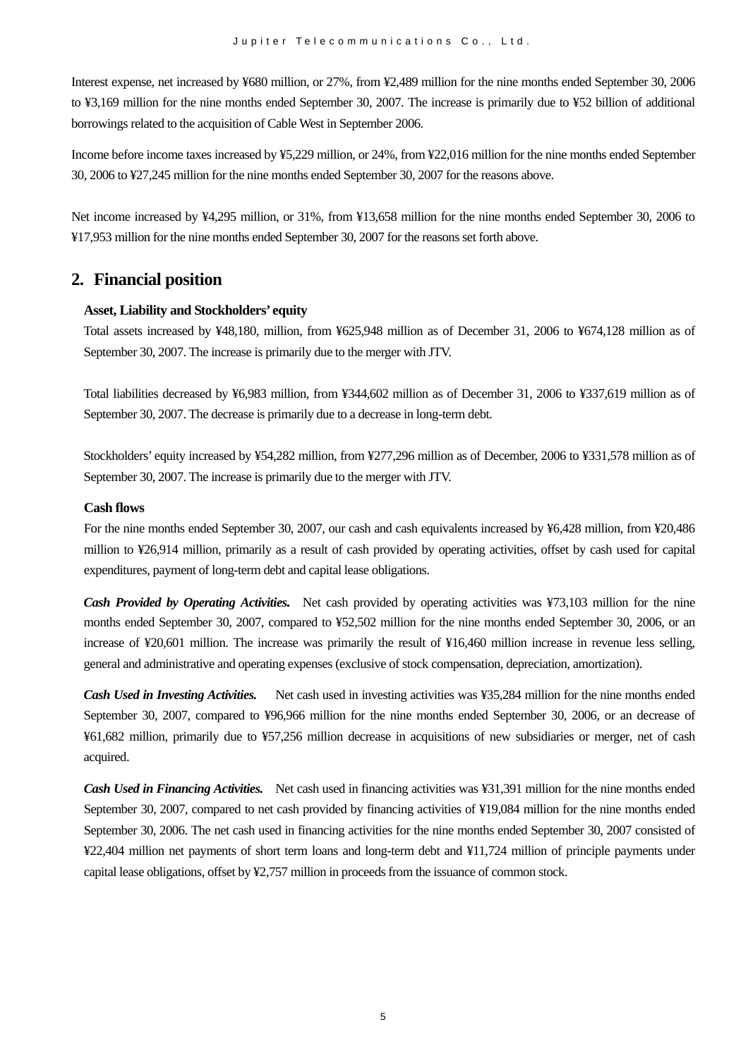Interest expense, net increased by ¥680 million, or 27%, from ¥2,489 million for the nine months ended September 30, 2006 to ¥3,169 million for the nine months ended September 30, 2007. The increase is primarily due to ¥52 billion of additional borrowings related to the acquisition of Cable West in September 2006.

Income before income taxes increased by ¥5,229 million, or 24%, from ¥22,016 million for the nine months ended September 30, 2006 to ¥27,245 million for the nine months ended September 30, 2007 for the reasons above.

Net income increased by ¥4,295 million, or 31%, from ¥13,658 million for the nine months ended September 30, 2006 to ¥17,953 million for the nine months ended September 30, 2007 for the reasons set forth above.

## **2. Financial position**

#### **Asset, Liability and Stockholders' equity**

Total assets increased by ¥48,180, million, from ¥625,948 million as of December 31, 2006 to ¥674,128 million as of September 30, 2007. The increase is primarily due to the merger with JTV.

Total liabilities decreased by ¥6,983 million, from ¥344,602 million as of December 31, 2006 to ¥337,619 million as of September 30, 2007. The decrease is primarily due to a decrease in long-term debt.

Stockholders' equity increased by ¥54,282 million, from ¥277,296 million as of December, 2006 to ¥331,578 million as of September 30, 2007. The increase is primarily due to the merger with JTV.

#### **Cash flows**

For the nine months ended September 30, 2007, our cash and cash equivalents increased by ¥6,428 million, from ¥20,486 million to ¥26,914 million, primarily as a result of cash provided by operating activities, offset by cash used for capital expenditures, payment of long-term debt and capital lease obligations.

*Cash Provided by Operating Activities.* Net cash provided by operating activities was ¥73,103 million for the nine months ended September 30, 2007, compared to ¥52,502 million for the nine months ended September 30, 2006, or an increase of ¥20,601 million. The increase was primarily the result of ¥16,460 million increase in revenue less selling, general and administrative and operating expenses (exclusive of stock compensation, depreciation, amortization).

*Cash Used in Investing Activities.* Net cash used in investing activities was ¥35,284 million for the nine months ended September 30, 2007, compared to ¥96,966 million for the nine months ended September 30, 2006, or an decrease of ¥61,682 million, primarily due to ¥57,256 million decrease in acquisitions of new subsidiaries or merger, net of cash acquired.

*Cash Used in Financing Activities.* Net cash used in financing activities was ¥31,391 million for the nine months ended September 30, 2007, compared to net cash provided by financing activities of ¥19,084 million for the nine months ended September 30, 2006. The net cash used in financing activities for the nine months ended September 30, 2007 consisted of ¥22,404 million net payments of short term loans and long-term debt and ¥11,724 million of principle payments under capital lease obligations, offset by ¥2,757 million in proceeds from the issuance of common stock.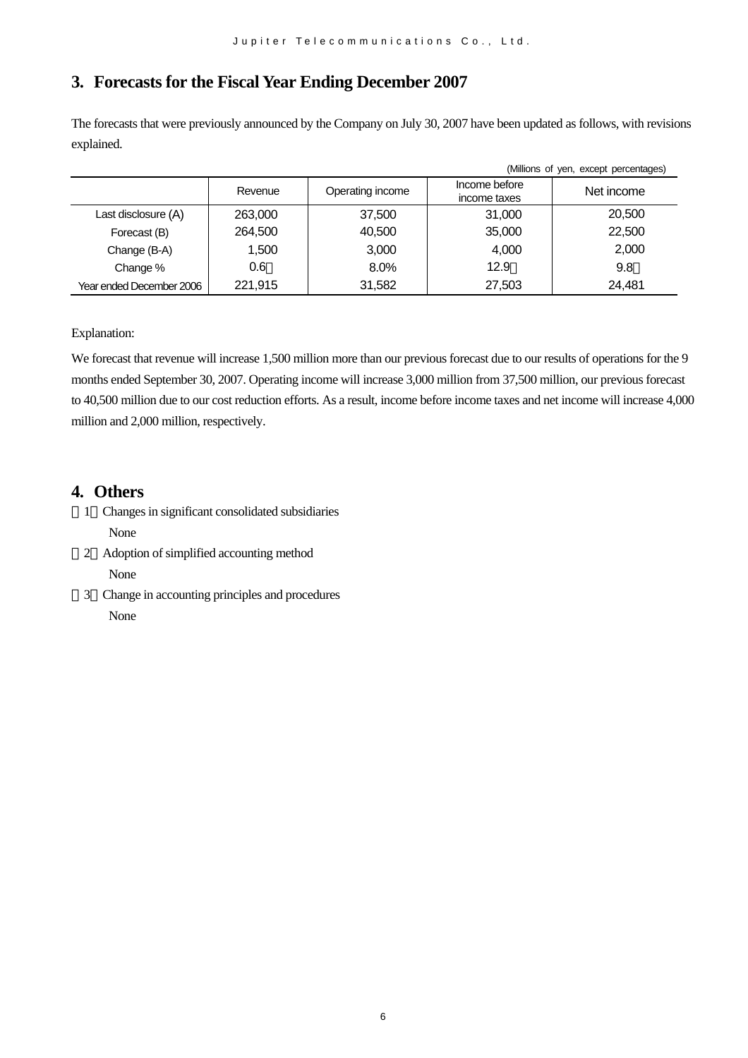## **3. Forecasts for the Fiscal Year Ending December 2007**

The forecasts that were previously announced by the Company on July 30, 2007 have been updated as follows, with revisions explained.

| (Millions of yen, except percentages) |         |                  |                               |            |  |  |
|---------------------------------------|---------|------------------|-------------------------------|------------|--|--|
|                                       | Revenue | Operating income | Income before<br>income taxes | Net income |  |  |
| Last disclosure (A)                   | 263,000 | 37,500           | 31,000                        | 20,500     |  |  |
| Forecast (B)                          | 264,500 | 40,500           | 35,000                        | 22,500     |  |  |
| Change (B-A)                          | 1,500   | 3,000            | 4,000                         | 2.000      |  |  |
| Change %                              | 0.6     | $8.0\%$          | 12.9                          | 9.8        |  |  |
| Year ended December 2006              | 221.915 | 31,582           | 27,503                        | 24,481     |  |  |

Explanation:

We forecast that revenue will increase 1,500 million more than our previous forecast due to our results of operations for the 9 months ended September 30, 2007. Operating income will increase 3,000 million from 37,500 million, our previous forecast to 40,500 million due to our cost reduction efforts. As a result, income before income taxes and net income will increase 4,000 million and 2,000 million, respectively.

## **4. Others**

- 1 Changes in significant consolidated subsidiaries None
- 2 Adoption of simplified accounting method None
- 3 Change in accounting principles and procedures None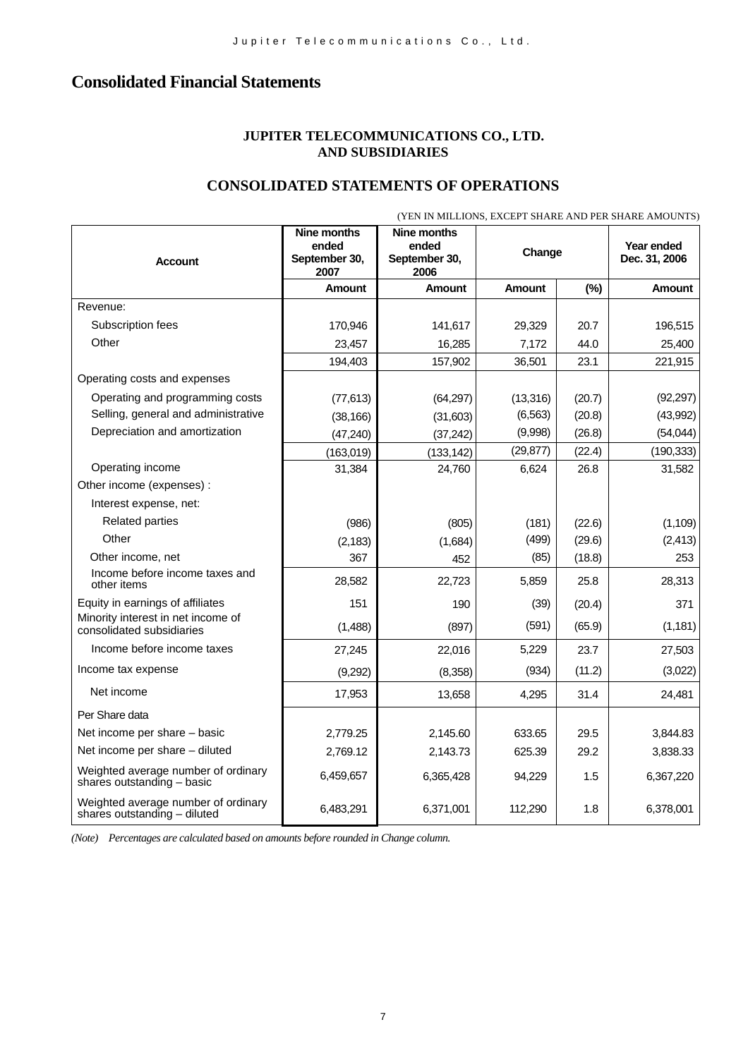## **Consolidated Financial Statements**

### **JUPITER TELECOMMUNICATIONS CO., LTD. AND SUBSIDIARIES**

### **CONSOLIDATED STATEMENTS OF OPERATIONS**

|                                                                     | (YEN IN MILLIONS, EXCEPT SHARE AND PER SHARE AMOUNTS) |                                               |           |        |                             |  |
|---------------------------------------------------------------------|-------------------------------------------------------|-----------------------------------------------|-----------|--------|-----------------------------|--|
| <b>Account</b>                                                      | Nine months<br>ended<br>September 30,<br>2007         | Nine months<br>ended<br>September 30,<br>2006 | Change    |        | Year ended<br>Dec. 31, 2006 |  |
|                                                                     | Amount                                                | Amount                                        | Amount    | (%)    | <b>Amount</b>               |  |
| Revenue:                                                            |                                                       |                                               |           |        |                             |  |
| Subscription fees                                                   | 170,946                                               | 141,617                                       | 29,329    | 20.7   | 196,515                     |  |
| Other                                                               | 23,457                                                | 16,285                                        | 7,172     | 44.0   | 25,400                      |  |
|                                                                     | 194,403                                               | 157,902                                       | 36,501    | 23.1   | 221,915                     |  |
| Operating costs and expenses                                        |                                                       |                                               |           |        |                             |  |
| Operating and programming costs                                     | (77, 613)                                             | (64, 297)                                     | (13, 316) | (20.7) | (92, 297)                   |  |
| Selling, general and administrative                                 | (38, 166)                                             | (31,603)                                      | (6, 563)  | (20.8) | (43,992)                    |  |
| Depreciation and amortization                                       | (47, 240)                                             | (37, 242)                                     | (9,998)   | (26.8) | (54, 044)                   |  |
|                                                                     | (163,019)                                             | (133, 142)                                    | (29, 877) | (22.4) | (190, 333)                  |  |
| Operating income                                                    | 31,384                                                | 24,760                                        | 6,624     | 26.8   | 31,582                      |  |
| Other income (expenses) :                                           |                                                       |                                               |           |        |                             |  |
| Interest expense, net:                                              |                                                       |                                               |           |        |                             |  |
| <b>Related parties</b>                                              | (986)                                                 | (805)                                         | (181)     | (22.6) | (1, 109)                    |  |
| Other                                                               | (2, 183)                                              | (1,684)                                       | (499)     | (29.6) | (2, 413)                    |  |
| Other income, net                                                   | 367                                                   | 452                                           | (85)      | (18.8) | 253                         |  |
| Income before income taxes and<br>other items                       | 28,582                                                | 22,723                                        | 5,859     | 25.8   | 28,313                      |  |
| Equity in earnings of affiliates                                    | 151                                                   | 190                                           | (39)      | (20.4) | 371                         |  |
| Minority interest in net income of<br>consolidated subsidiaries     | (1,488)                                               | (897)                                         | (591)     | (65.9) | (1, 181)                    |  |
| Income before income taxes                                          | 27,245                                                | 22,016                                        | 5,229     | 23.7   | 27,503                      |  |
| Income tax expense                                                  | (9,292)                                               | (8,358)                                       | (934)     | (11.2) | (3,022)                     |  |
| Net income                                                          | 17,953                                                | 13,658                                        | 4,295     | 31.4   | 24,481                      |  |
| Per Share data                                                      |                                                       |                                               |           |        |                             |  |
| Net income per share - basic                                        | 2,779.25                                              | 2,145.60                                      | 633.65    | 29.5   | 3,844.83                    |  |
| Net income per share - diluted                                      | 2,769.12                                              | 2,143.73                                      | 625.39    | 29.2   | 3,838.33                    |  |
| Weighted average number of ordinary<br>shares outstanding - basic   | 6,459,657                                             | 6,365,428                                     | 94,229    | 1.5    | 6,367,220                   |  |
| Weighted average number of ordinary<br>shares outstanding - diluted | 6,483,291                                             | 6,371,001                                     | 112,290   | 1.8    | 6,378,001                   |  |

*(Note) Percentages are calculated based on amounts before rounded in Change column.*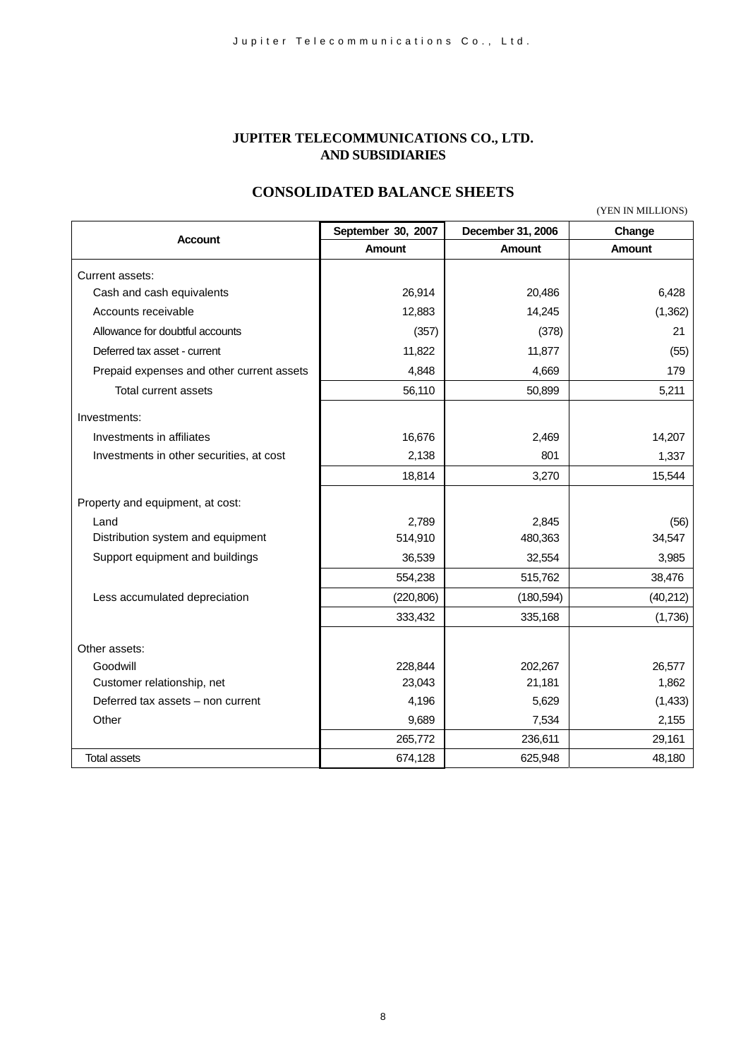### **JUPITER TELECOMMUNICATIONS CO., LTD. AND SUBSIDIARIES**

## **CONSOLIDATED BALANCE SHEETS**

(YEN IN MILLIONS)

|                                           | September 30, 2007 | December 31, 2006 | Change        |
|-------------------------------------------|--------------------|-------------------|---------------|
| <b>Account</b>                            | <b>Amount</b>      | Amount            | <b>Amount</b> |
| Current assets:                           |                    |                   |               |
| Cash and cash equivalents                 | 26,914             | 20,486            | 6,428         |
| Accounts receivable                       | 12,883             | 14,245            | (1, 362)      |
| Allowance for doubtful accounts           | (357)              | (378)             | 21            |
| Deferred tax asset - current              | 11,822             | 11,877            | (55)          |
| Prepaid expenses and other current assets | 4,848              | 4,669             | 179           |
| Total current assets                      | 56,110             | 50,899            | 5,211         |
| Investments:                              |                    |                   |               |
| Investments in affiliates                 | 16,676             | 2,469             | 14,207        |
| Investments in other securities, at cost  | 2,138              | 801               | 1,337         |
|                                           | 18,814             | 3,270             | 15,544        |
|                                           |                    |                   |               |
| Property and equipment, at cost:          |                    |                   |               |
| Land                                      | 2,789              | 2,845             | (56)          |
| Distribution system and equipment         | 514,910            | 480,363           | 34,547        |
| Support equipment and buildings           | 36,539             | 32,554            | 3,985         |
|                                           | 554,238            | 515,762           | 38,476        |
| Less accumulated depreciation             | (220, 806)         | (180, 594)        | (40, 212)     |
|                                           | 333,432            | 335,168           | (1,736)       |
|                                           |                    |                   |               |
| Other assets:                             |                    |                   |               |
| Goodwill                                  | 228,844            | 202,267           | 26,577        |
| Customer relationship, net                | 23,043             | 21,181            | 1,862         |
| Deferred tax assets - non current         | 4,196              | 5,629             | (1, 433)      |
| Other                                     | 9,689              | 7,534             | 2,155         |
|                                           | 265,772            | 236,611           | 29,161        |
| <b>Total assets</b>                       | 674,128            | 625,948           | 48,180        |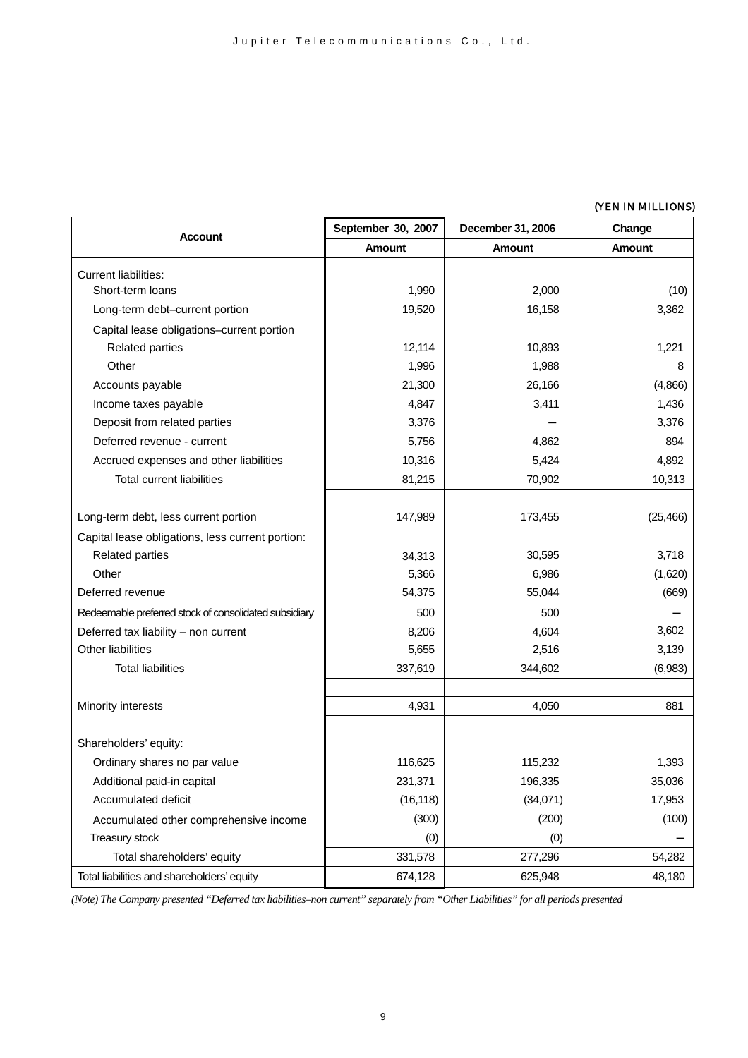#### (YEN IN MILLIONS)

|                                                       | September 30, 2007 | December 31, 2006 | Change        |
|-------------------------------------------------------|--------------------|-------------------|---------------|
| Account                                               | <b>Amount</b>      | <b>Amount</b>     | <b>Amount</b> |
| <b>Current liabilities:</b>                           |                    |                   |               |
| Short-term loans                                      | 1,990              | 2,000             | (10)          |
| Long-term debt-current portion                        | 19,520             | 16,158            | 3,362         |
| Capital lease obligations-current portion             |                    |                   |               |
| <b>Related parties</b>                                | 12,114             | 10,893            | 1,221         |
| Other                                                 | 1,996              | 1,988             | 8             |
| Accounts payable                                      | 21,300             | 26,166            | (4,866)       |
| Income taxes payable                                  | 4,847              | 3,411             | 1,436         |
| Deposit from related parties                          | 3,376              |                   | 3,376         |
| Deferred revenue - current                            | 5,756              | 4,862             | 894           |
| Accrued expenses and other liabilities                | 10,316             | 5,424             | 4,892         |
| <b>Total current liabilities</b>                      | 81,215             | 70,902            | 10,313        |
|                                                       |                    |                   |               |
| Long-term debt, less current portion                  | 147,989            | 173,455           | (25, 466)     |
| Capital lease obligations, less current portion:      |                    |                   |               |
| <b>Related parties</b>                                | 34,313             | 30,595            | 3,718         |
| Other                                                 | 5,366              | 6,986             | (1,620)       |
| Deferred revenue                                      | 54,375             | 55,044            | (669)         |
| Redeemable preferred stock of consolidated subsidiary | 500                | 500               |               |
| Deferred tax liability - non current                  | 8,206              | 4,604             | 3,602         |
| Other liabilities                                     | 5,655              | 2,516             | 3,139         |
| <b>Total liabilities</b>                              | 337,619            | 344,602           | (6,983)       |
|                                                       |                    |                   |               |
| Minority interests                                    | 4,931              | 4,050             | 881           |
|                                                       |                    |                   |               |
| Shareholders' equity:                                 |                    |                   |               |
| Ordinary shares no par value                          | 116,625            | 115,232           | 1,393         |
| Additional paid-in capital                            | 231,371            | 196,335           | 35,036        |
| Accumulated deficit                                   | (16, 118)          | (34,071)          | 17,953        |
| Accumulated other comprehensive income                | (300)              | (200)             | (100)         |
| Treasury stock                                        | (0)                | (0)               |               |
| Total shareholders' equity                            | 331,578            | 277,296           | 54,282        |
| Total liabilities and shareholders' equity            | 674,128            | 625,948           | 48,180        |

*(Note) The Company presented "Deferred tax liabilities–non current" separately from "Other Liabilities" for all periods presented*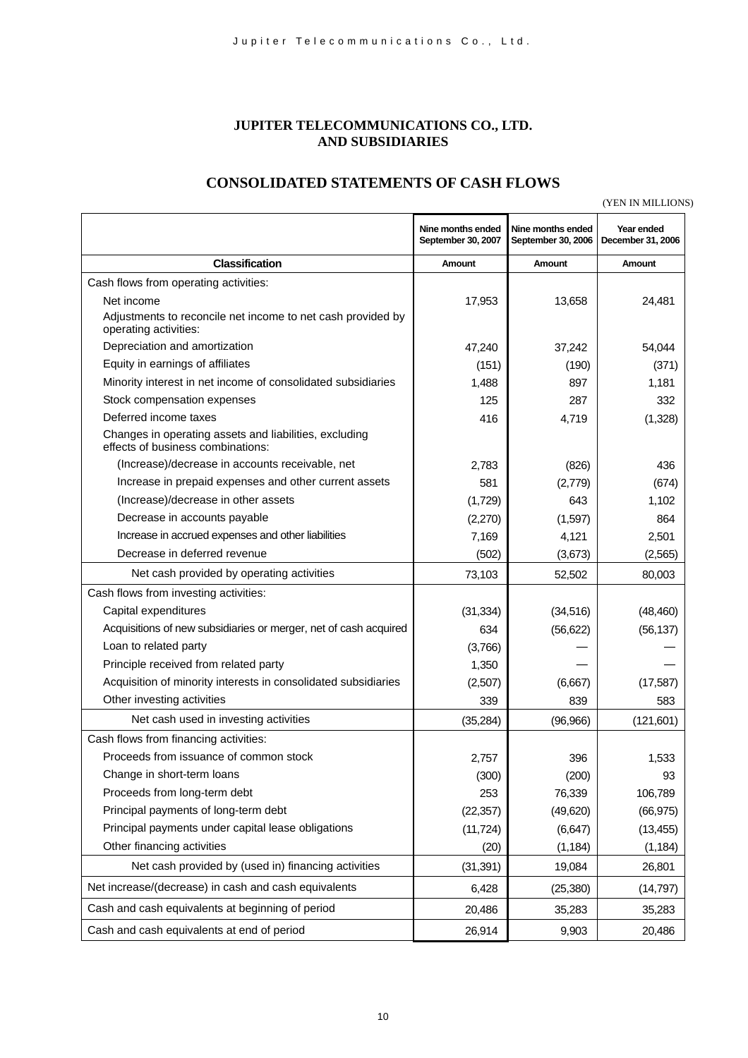### **JUPITER TELECOMMUNICATIONS CO., LTD. AND SUBSIDIARIES**

## **CONSOLIDATED STATEMENTS OF CASH FLOWS**

(YEN IN MILLIONS)

|                                                                                             | Nine months ended<br>September 30, 2007 | Nine months ended<br>September 30, 2006 | Year ended<br>December 31, 2006 |
|---------------------------------------------------------------------------------------------|-----------------------------------------|-----------------------------------------|---------------------------------|
| <b>Classification</b>                                                                       | Amount                                  | Amount                                  | Amount                          |
| Cash flows from operating activities:                                                       |                                         |                                         |                                 |
| Net income                                                                                  | 17,953                                  | 13,658                                  | 24,481                          |
| Adjustments to reconcile net income to net cash provided by<br>operating activities:        |                                         |                                         |                                 |
| Depreciation and amortization                                                               | 47,240                                  | 37,242                                  | 54,044                          |
| Equity in earnings of affiliates                                                            | (151)                                   | (190)                                   | (371)                           |
| Minority interest in net income of consolidated subsidiaries                                | 1,488                                   | 897                                     | 1,181                           |
| Stock compensation expenses                                                                 | 125                                     | 287                                     | 332                             |
| Deferred income taxes                                                                       | 416                                     | 4,719                                   | (1, 328)                        |
| Changes in operating assets and liabilities, excluding<br>effects of business combinations: |                                         |                                         |                                 |
| (Increase)/decrease in accounts receivable, net                                             | 2,783                                   | (826)                                   | 436                             |
| Increase in prepaid expenses and other current assets                                       | 581                                     | (2,779)                                 | (674)                           |
| (Increase)/decrease in other assets                                                         | (1,729)                                 | 643                                     | 1,102                           |
| Decrease in accounts payable                                                                | (2,270)                                 | (1,597)                                 | 864                             |
| Increase in accrued expenses and other liabilities                                          | 7,169                                   | 4,121                                   | 2,501                           |
| Decrease in deferred revenue                                                                | (502)                                   | (3,673)                                 | (2, 565)                        |
| Net cash provided by operating activities                                                   | 73,103                                  | 52,502                                  | 80,003                          |
| Cash flows from investing activities:                                                       |                                         |                                         |                                 |
| Capital expenditures                                                                        | (31, 334)                               | (34, 516)                               | (48, 460)                       |
| Acquisitions of new subsidiaries or merger, net of cash acquired                            | 634                                     | (56, 622)                               | (56, 137)                       |
| Loan to related party                                                                       | (3,766)                                 |                                         |                                 |
| Principle received from related party                                                       | 1,350                                   |                                         |                                 |
| Acquisition of minority interests in consolidated subsidiaries                              | (2,507)                                 | (6,667)                                 | (17, 587)                       |
| Other investing activities                                                                  | 339                                     | 839                                     | 583                             |
| Net cash used in investing activities                                                       | (35, 284)                               | (96, 966)                               | (121, 601)                      |
| Cash flows from financing activities:                                                       |                                         |                                         |                                 |
| Proceeds from issuance of common stock                                                      | 2,757                                   | 396                                     | 1,533                           |
| Change in short-term loans                                                                  | (300)                                   | (200)                                   | 93                              |
| Proceeds from long-term debt                                                                | 253                                     | 76,339                                  | 106,789                         |
| Principal payments of long-term debt                                                        | (22, 357)                               | (49, 620)                               | (66, 975)                       |
| Principal payments under capital lease obligations                                          | (11, 724)                               | (6, 647)                                | (13, 455)                       |
| Other financing activities                                                                  | (20)                                    | (1, 184)                                | (1, 184)                        |
| Net cash provided by (used in) financing activities                                         | (31, 391)                               | 19,084                                  | 26,801                          |
| Net increase/(decrease) in cash and cash equivalents                                        | 6,428                                   | (25, 380)                               | (14, 797)                       |
| Cash and cash equivalents at beginning of period                                            | 20,486                                  | 35,283                                  | 35,283                          |
| Cash and cash equivalents at end of period                                                  | 26,914                                  | 9,903                                   | 20,486                          |